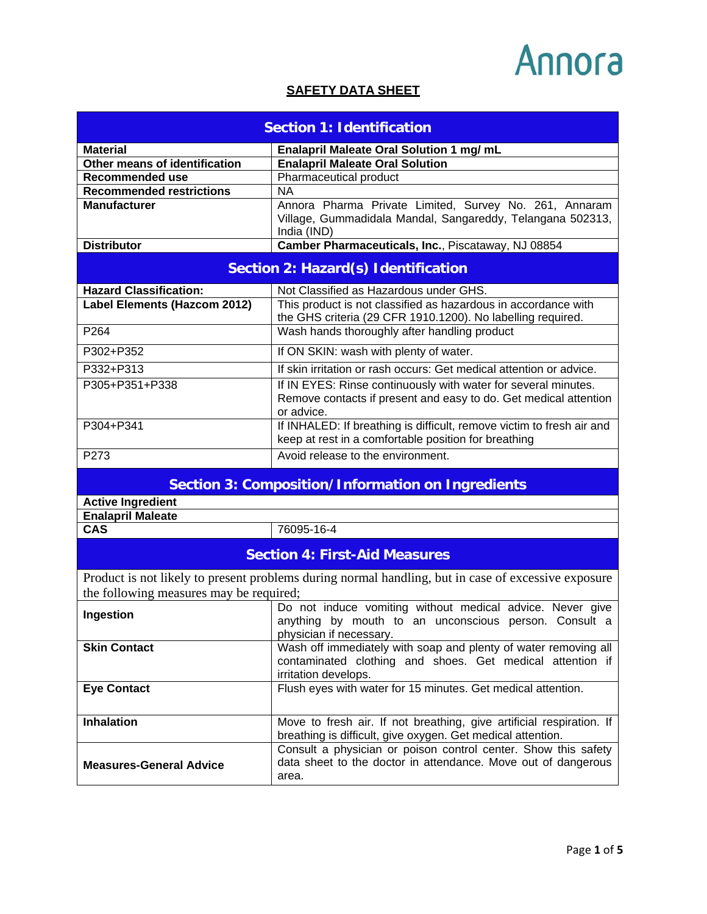#### **SAFETY DATA SHEET**

| <b>Section 1: Identification</b>                         |                                                                                                                                                      |
|----------------------------------------------------------|------------------------------------------------------------------------------------------------------------------------------------------------------|
| <b>Material</b>                                          | Enalapril Maleate Oral Solution 1 mg/ mL                                                                                                             |
| Other means of identification                            | <b>Enalapril Maleate Oral Solution</b>                                                                                                               |
| <b>Recommended use</b>                                   | Pharmaceutical product                                                                                                                               |
| <b>Recommended restrictions</b>                          | <b>NA</b>                                                                                                                                            |
| <b>Manufacturer</b>                                      | Annora Pharma Private Limited, Survey No. 261, Annaram                                                                                               |
|                                                          | Village, Gummadidala Mandal, Sangareddy, Telangana 502313,                                                                                           |
|                                                          | India (IND)                                                                                                                                          |
| <b>Distributor</b>                                       | Camber Pharmaceuticals, Inc., Piscataway, NJ 08854                                                                                                   |
|                                                          | <b>Section 2: Hazard(s) Identification</b>                                                                                                           |
| <b>Hazard Classification:</b>                            | Not Classified as Hazardous under GHS.                                                                                                               |
| Label Elements (Hazcom 2012)                             | This product is not classified as hazardous in accordance with<br>the GHS criteria (29 CFR 1910.1200). No labelling required.                        |
| P264                                                     | Wash hands thoroughly after handling product                                                                                                         |
| P302+P352                                                | If ON SKIN: wash with plenty of water.                                                                                                               |
| P332+P313                                                | If skin irritation or rash occurs: Get medical attention or advice.                                                                                  |
| P305+P351+P338                                           | If IN EYES: Rinse continuously with water for several minutes.<br>Remove contacts if present and easy to do. Get medical attention<br>or advice.     |
| P304+P341                                                | If INHALED: If breathing is difficult, remove victim to fresh air and<br>keep at rest in a comfortable position for breathing                        |
| P273                                                     | Avoid release to the environment.                                                                                                                    |
| <b>Section 3: Composition/Information on Ingredients</b> |                                                                                                                                                      |
| <b>Active Ingredient</b><br><b>Enalapril Maleate</b>     |                                                                                                                                                      |
| <b>CAS</b>                                               | 76095-16-4                                                                                                                                           |
|                                                          | <b>Section 4: First-Aid Measures</b>                                                                                                                 |
|                                                          | Product is not likely to present problems during normal handling, but in case of excessive exposure                                                  |
| the following measures may be required;                  |                                                                                                                                                      |
| Ingestion                                                | Do not induce vomiting without medical advice. Never give<br>anything by mouth to an unconscious person. Consult a<br>physician if necessary.        |
| <b>Skin Contact</b>                                      | Wash off immediately with soap and plenty of water removing all<br>contaminated clothing and shoes. Get medical attention if<br>irritation develops. |
| <b>Eye Contact</b>                                       | Flush eyes with water for 15 minutes. Get medical attention.                                                                                         |
| <b>Inhalation</b>                                        | Move to fresh air. If not breathing, give artificial respiration. If<br>breathing is difficult, give oxygen. Get medical attention.                  |
| <b>Measures-General Advice</b>                           | Consult a physician or poison control center. Show this safety<br>data sheet to the doctor in attendance. Move out of dangerous<br>area.             |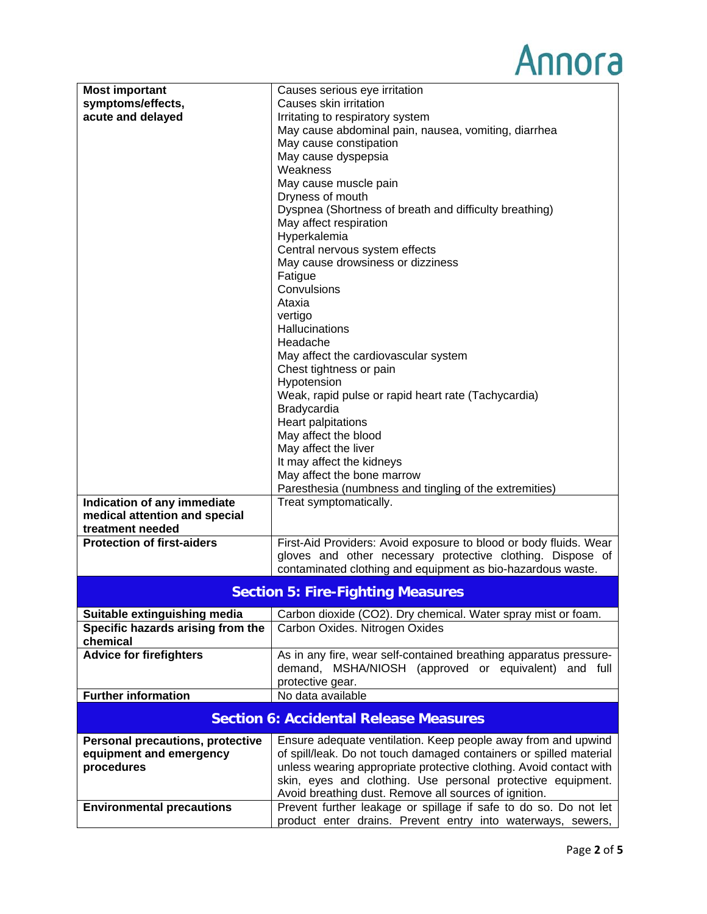| <b>Most important</b>                   | Causes serious eye irritation                                      |
|-----------------------------------------|--------------------------------------------------------------------|
| symptoms/effects,                       | Causes skin irritation                                             |
| acute and delayed                       | Irritating to respiratory system                                   |
|                                         | May cause abdominal pain, nausea, vomiting, diarrhea               |
|                                         | May cause constipation                                             |
|                                         | May cause dyspepsia                                                |
|                                         | Weakness                                                           |
|                                         | May cause muscle pain                                              |
|                                         | Dryness of mouth                                                   |
|                                         | Dyspnea (Shortness of breath and difficulty breathing)             |
|                                         | May affect respiration                                             |
|                                         | Hyperkalemia                                                       |
|                                         | Central nervous system effects                                     |
|                                         | May cause drowsiness or dizziness                                  |
|                                         | Fatigue                                                            |
|                                         | Convulsions                                                        |
|                                         | Ataxia                                                             |
|                                         | vertigo                                                            |
|                                         | Hallucinations                                                     |
|                                         | Headache                                                           |
|                                         | May affect the cardiovascular system                               |
|                                         | Chest tightness or pain                                            |
|                                         | Hypotension                                                        |
|                                         | Weak, rapid pulse or rapid heart rate (Tachycardia)                |
|                                         | Bradycardia                                                        |
|                                         | Heart palpitations                                                 |
|                                         | May affect the blood                                               |
|                                         | May affect the liver                                               |
|                                         | It may affect the kidneys                                          |
|                                         | May affect the bone marrow                                         |
|                                         | Paresthesia (numbness and tingling of the extremities)             |
| Indication of any immediate             | Treat symptomatically.                                             |
| medical attention and special           |                                                                    |
| treatment needed                        |                                                                    |
| <b>Protection of first-aiders</b>       | First-Aid Providers: Avoid exposure to blood or body fluids. Wear  |
|                                         | gloves and other necessary protective clothing. Dispose of         |
|                                         | contaminated clothing and equipment as bio-hazardous waste.        |
|                                         |                                                                    |
|                                         | <b>Section 5: Fire-Fighting Measures</b>                           |
| Suitable extinguishing media            | Carbon dioxide (CO2). Dry chemical. Water spray mist or foam.      |
| Specific hazards arising from the       | Carbon Oxides. Nitrogen Oxides                                     |
| chemical                                |                                                                    |
| <b>Advice for firefighters</b>          | As in any fire, wear self-contained breathing apparatus pressure-  |
|                                         | demand, MSHA/NIOSH (approved or equivalent) and full               |
|                                         | protective gear.                                                   |
| <b>Further information</b>              | No data available                                                  |
|                                         | <b>Section 6: Accidental Release Measures</b>                      |
|                                         |                                                                    |
| <b>Personal precautions, protective</b> | Ensure adequate ventilation. Keep people away from and upwind      |
| equipment and emergency                 | of spill/leak. Do not touch damaged containers or spilled material |
| procedures                              | unless wearing appropriate protective clothing. Avoid contact with |
|                                         | skin, eyes and clothing. Use personal protective equipment.        |
|                                         | Avoid breathing dust. Remove all sources of ignition.              |
| <b>Environmental precautions</b>        | Prevent further leakage or spillage if safe to do so. Do not let   |
|                                         | product enter drains. Prevent entry into waterways, sewers,        |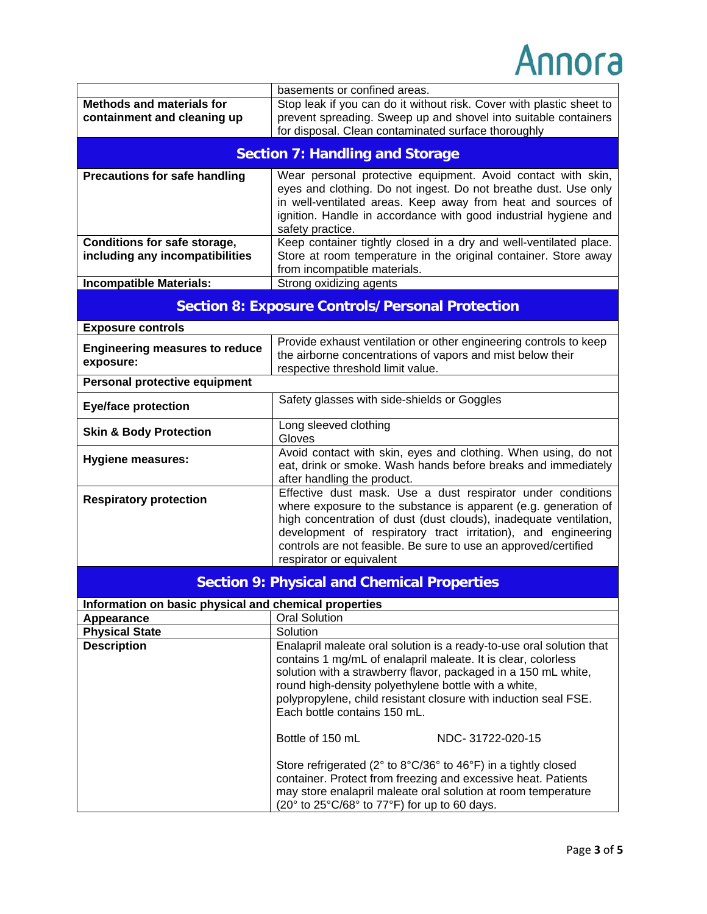|                                                       | basements or confined areas.                                                                                                    |
|-------------------------------------------------------|---------------------------------------------------------------------------------------------------------------------------------|
| <b>Methods and materials for</b>                      | Stop leak if you can do it without risk. Cover with plastic sheet to                                                            |
| containment and cleaning up                           | prevent spreading. Sweep up and shovel into suitable containers                                                                 |
|                                                       | for disposal. Clean contaminated surface thoroughly                                                                             |
|                                                       | <b>Section 7: Handling and Storage</b>                                                                                          |
|                                                       |                                                                                                                                 |
| <b>Precautions for safe handling</b>                  | Wear personal protective equipment. Avoid contact with skin,                                                                    |
|                                                       | eyes and clothing. Do not ingest. Do not breathe dust. Use only                                                                 |
|                                                       | in well-ventilated areas. Keep away from heat and sources of                                                                    |
|                                                       | ignition. Handle in accordance with good industrial hygiene and<br>safety practice.                                             |
| Conditions for safe storage,                          | Keep container tightly closed in a dry and well-ventilated place.                                                               |
| including any incompatibilities                       | Store at room temperature in the original container. Store away                                                                 |
|                                                       | from incompatible materials.                                                                                                    |
| <b>Incompatible Materials:</b>                        | Strong oxidizing agents                                                                                                         |
|                                                       |                                                                                                                                 |
|                                                       | <b>Section 8: Exposure Controls/Personal Protection</b>                                                                         |
| <b>Exposure controls</b>                              |                                                                                                                                 |
| <b>Engineering measures to reduce</b>                 | Provide exhaust ventilation or other engineering controls to keep                                                               |
| exposure:                                             | the airborne concentrations of vapors and mist below their<br>respective threshold limit value.                                 |
| Personal protective equipment                         |                                                                                                                                 |
|                                                       | Safety glasses with side-shields or Goggles                                                                                     |
| <b>Eye/face protection</b>                            |                                                                                                                                 |
| <b>Skin &amp; Body Protection</b>                     | Long sleeved clothing                                                                                                           |
|                                                       | Gloves                                                                                                                          |
| <b>Hygiene measures:</b>                              | Avoid contact with skin, eyes and clothing. When using, do not<br>eat, drink or smoke. Wash hands before breaks and immediately |
|                                                       | after handling the product.                                                                                                     |
|                                                       | Effective dust mask. Use a dust respirator under conditions                                                                     |
| <b>Respiratory protection</b>                         | where exposure to the substance is apparent (e.g. generation of                                                                 |
|                                                       | high concentration of dust (dust clouds), inadequate ventilation,                                                               |
|                                                       | development of respiratory tract irritation), and engineering                                                                   |
|                                                       | controls are not feasible. Be sure to use an approved/certified                                                                 |
|                                                       | respirator or equivalent                                                                                                        |
|                                                       | <b>Section 9: Physical and Chemical Properties</b>                                                                              |
| Information on basic physical and chemical properties |                                                                                                                                 |
| Appearance                                            | <b>Oral Solution</b>                                                                                                            |
| <b>Physical State</b>                                 | Solution                                                                                                                        |
| <b>Description</b>                                    | Enalapril maleate oral solution is a ready-to-use oral solution that                                                            |
|                                                       | contains 1 mg/mL of enalapril maleate. It is clear, colorless                                                                   |
|                                                       | solution with a strawberry flavor, packaged in a 150 mL white,                                                                  |
|                                                       | round high-density polyethylene bottle with a white,                                                                            |
|                                                       | polypropylene, child resistant closure with induction seal FSE.<br>Each bottle contains 150 mL.                                 |
|                                                       |                                                                                                                                 |
|                                                       | Bottle of 150 mL<br>NDC-31722-020-15                                                                                            |
|                                                       |                                                                                                                                 |
|                                                       | Store refrigerated (2° to 8°C/36° to 46°F) in a tightly closed                                                                  |
|                                                       | container. Protect from freezing and excessive heat. Patients                                                                   |
|                                                       | may store enalapril maleate oral solution at room temperature                                                                   |
|                                                       | (20 $\degree$ to 25 $\degree$ C/68 $\degree$ to 77 $\degree$ F) for up to 60 days.                                              |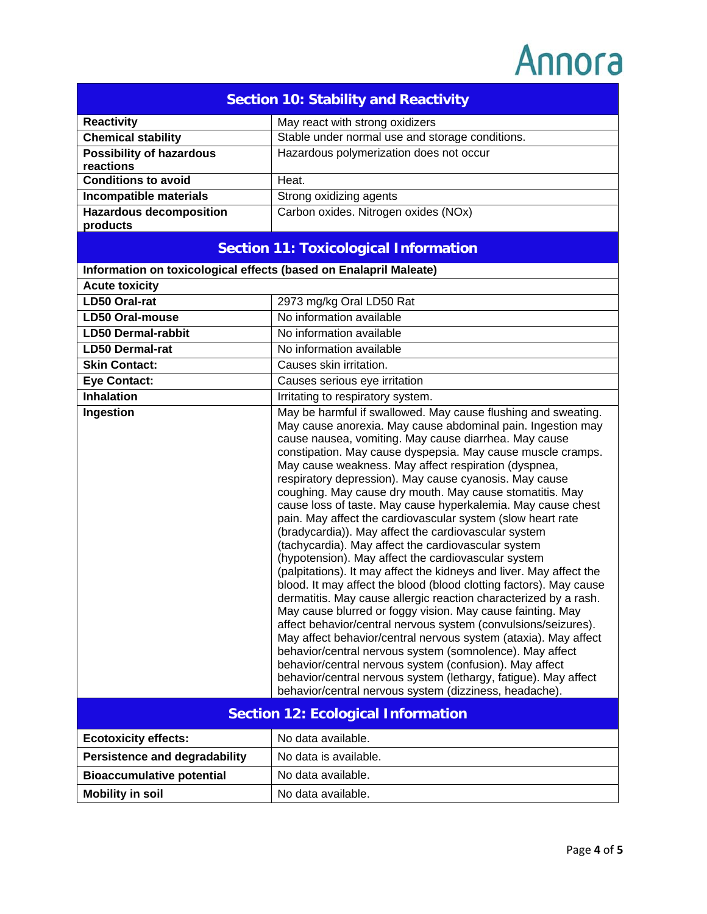| <b>Section 10: Stability and Reactivity</b>                       |                                                                                                                                                                                                                                                                                                                                                                                                                                                                                                                                                                                                                                                                                                                                                                                                                                                                                                                                                                                                                                                                                                                                                                                                                                                                                                                                                                                                                 |
|-------------------------------------------------------------------|-----------------------------------------------------------------------------------------------------------------------------------------------------------------------------------------------------------------------------------------------------------------------------------------------------------------------------------------------------------------------------------------------------------------------------------------------------------------------------------------------------------------------------------------------------------------------------------------------------------------------------------------------------------------------------------------------------------------------------------------------------------------------------------------------------------------------------------------------------------------------------------------------------------------------------------------------------------------------------------------------------------------------------------------------------------------------------------------------------------------------------------------------------------------------------------------------------------------------------------------------------------------------------------------------------------------------------------------------------------------------------------------------------------------|
| <b>Reactivity</b>                                                 | May react with strong oxidizers                                                                                                                                                                                                                                                                                                                                                                                                                                                                                                                                                                                                                                                                                                                                                                                                                                                                                                                                                                                                                                                                                                                                                                                                                                                                                                                                                                                 |
| <b>Chemical stability</b>                                         | Stable under normal use and storage conditions.                                                                                                                                                                                                                                                                                                                                                                                                                                                                                                                                                                                                                                                                                                                                                                                                                                                                                                                                                                                                                                                                                                                                                                                                                                                                                                                                                                 |
| <b>Possibility of hazardous</b><br>reactions                      | Hazardous polymerization does not occur                                                                                                                                                                                                                                                                                                                                                                                                                                                                                                                                                                                                                                                                                                                                                                                                                                                                                                                                                                                                                                                                                                                                                                                                                                                                                                                                                                         |
| <b>Conditions to avoid</b>                                        | Heat.                                                                                                                                                                                                                                                                                                                                                                                                                                                                                                                                                                                                                                                                                                                                                                                                                                                                                                                                                                                                                                                                                                                                                                                                                                                                                                                                                                                                           |
| Incompatible materials                                            | Strong oxidizing agents                                                                                                                                                                                                                                                                                                                                                                                                                                                                                                                                                                                                                                                                                                                                                                                                                                                                                                                                                                                                                                                                                                                                                                                                                                                                                                                                                                                         |
| <b>Hazardous decomposition</b>                                    | Carbon oxides. Nitrogen oxides (NOx)                                                                                                                                                                                                                                                                                                                                                                                                                                                                                                                                                                                                                                                                                                                                                                                                                                                                                                                                                                                                                                                                                                                                                                                                                                                                                                                                                                            |
| products                                                          |                                                                                                                                                                                                                                                                                                                                                                                                                                                                                                                                                                                                                                                                                                                                                                                                                                                                                                                                                                                                                                                                                                                                                                                                                                                                                                                                                                                                                 |
| <b>Section 11: Toxicological Information</b>                      |                                                                                                                                                                                                                                                                                                                                                                                                                                                                                                                                                                                                                                                                                                                                                                                                                                                                                                                                                                                                                                                                                                                                                                                                                                                                                                                                                                                                                 |
| Information on toxicological effects (based on Enalapril Maleate) |                                                                                                                                                                                                                                                                                                                                                                                                                                                                                                                                                                                                                                                                                                                                                                                                                                                                                                                                                                                                                                                                                                                                                                                                                                                                                                                                                                                                                 |
| <b>Acute toxicity</b>                                             |                                                                                                                                                                                                                                                                                                                                                                                                                                                                                                                                                                                                                                                                                                                                                                                                                                                                                                                                                                                                                                                                                                                                                                                                                                                                                                                                                                                                                 |
| <b>LD50 Oral-rat</b>                                              | 2973 mg/kg Oral LD50 Rat                                                                                                                                                                                                                                                                                                                                                                                                                                                                                                                                                                                                                                                                                                                                                                                                                                                                                                                                                                                                                                                                                                                                                                                                                                                                                                                                                                                        |
| <b>LD50 Oral-mouse</b>                                            | No information available                                                                                                                                                                                                                                                                                                                                                                                                                                                                                                                                                                                                                                                                                                                                                                                                                                                                                                                                                                                                                                                                                                                                                                                                                                                                                                                                                                                        |
| <b>LD50 Dermal-rabbit</b>                                         | No information available                                                                                                                                                                                                                                                                                                                                                                                                                                                                                                                                                                                                                                                                                                                                                                                                                                                                                                                                                                                                                                                                                                                                                                                                                                                                                                                                                                                        |
| <b>LD50 Dermal-rat</b>                                            | No information available                                                                                                                                                                                                                                                                                                                                                                                                                                                                                                                                                                                                                                                                                                                                                                                                                                                                                                                                                                                                                                                                                                                                                                                                                                                                                                                                                                                        |
| <b>Skin Contact:</b>                                              | Causes skin irritation.                                                                                                                                                                                                                                                                                                                                                                                                                                                                                                                                                                                                                                                                                                                                                                                                                                                                                                                                                                                                                                                                                                                                                                                                                                                                                                                                                                                         |
| <b>Eye Contact:</b>                                               | Causes serious eye irritation                                                                                                                                                                                                                                                                                                                                                                                                                                                                                                                                                                                                                                                                                                                                                                                                                                                                                                                                                                                                                                                                                                                                                                                                                                                                                                                                                                                   |
| <b>Inhalation</b>                                                 | Irritating to respiratory system.                                                                                                                                                                                                                                                                                                                                                                                                                                                                                                                                                                                                                                                                                                                                                                                                                                                                                                                                                                                                                                                                                                                                                                                                                                                                                                                                                                               |
| Ingestion                                                         | May be harmful if swallowed. May cause flushing and sweating.<br>May cause anorexia. May cause abdominal pain. Ingestion may<br>cause nausea, vomiting. May cause diarrhea. May cause<br>constipation. May cause dyspepsia. May cause muscle cramps.<br>May cause weakness. May affect respiration (dyspnea,<br>respiratory depression). May cause cyanosis. May cause<br>coughing. May cause dry mouth. May cause stomatitis. May<br>cause loss of taste. May cause hyperkalemia. May cause chest<br>pain. May affect the cardiovascular system (slow heart rate<br>(bradycardia)). May affect the cardiovascular system<br>(tachycardia). May affect the cardiovascular system<br>(hypotension). May affect the cardiovascular system<br>(palpitations). It may affect the kidneys and liver. May affect the<br>blood. It may affect the blood (blood clotting factors). May cause<br>dermatitis. May cause allergic reaction characterized by a rash.<br>May cause blurred or foggy vision. May cause fainting. May<br>affect behavior/central nervous system (convulsions/seizures).<br>May affect behavior/central nervous system (ataxia). May affect<br>behavior/central nervous system (somnolence). May affect<br>behavior/central nervous system (confusion). May affect<br>behavior/central nervous system (lethargy, fatigue). May affect<br>behavior/central nervous system (dizziness, headache). |
| <b>Section 12: Ecological Information</b>                         |                                                                                                                                                                                                                                                                                                                                                                                                                                                                                                                                                                                                                                                                                                                                                                                                                                                                                                                                                                                                                                                                                                                                                                                                                                                                                                                                                                                                                 |
| <b>Ecotoxicity effects:</b>                                       | No data available.                                                                                                                                                                                                                                                                                                                                                                                                                                                                                                                                                                                                                                                                                                                                                                                                                                                                                                                                                                                                                                                                                                                                                                                                                                                                                                                                                                                              |
| <b>Persistence and degradability</b>                              | No data is available.                                                                                                                                                                                                                                                                                                                                                                                                                                                                                                                                                                                                                                                                                                                                                                                                                                                                                                                                                                                                                                                                                                                                                                                                                                                                                                                                                                                           |
| <b>Bioaccumulative potential</b>                                  | No data available.                                                                                                                                                                                                                                                                                                                                                                                                                                                                                                                                                                                                                                                                                                                                                                                                                                                                                                                                                                                                                                                                                                                                                                                                                                                                                                                                                                                              |
| <b>Mobility in soil</b>                                           | No data available.                                                                                                                                                                                                                                                                                                                                                                                                                                                                                                                                                                                                                                                                                                                                                                                                                                                                                                                                                                                                                                                                                                                                                                                                                                                                                                                                                                                              |